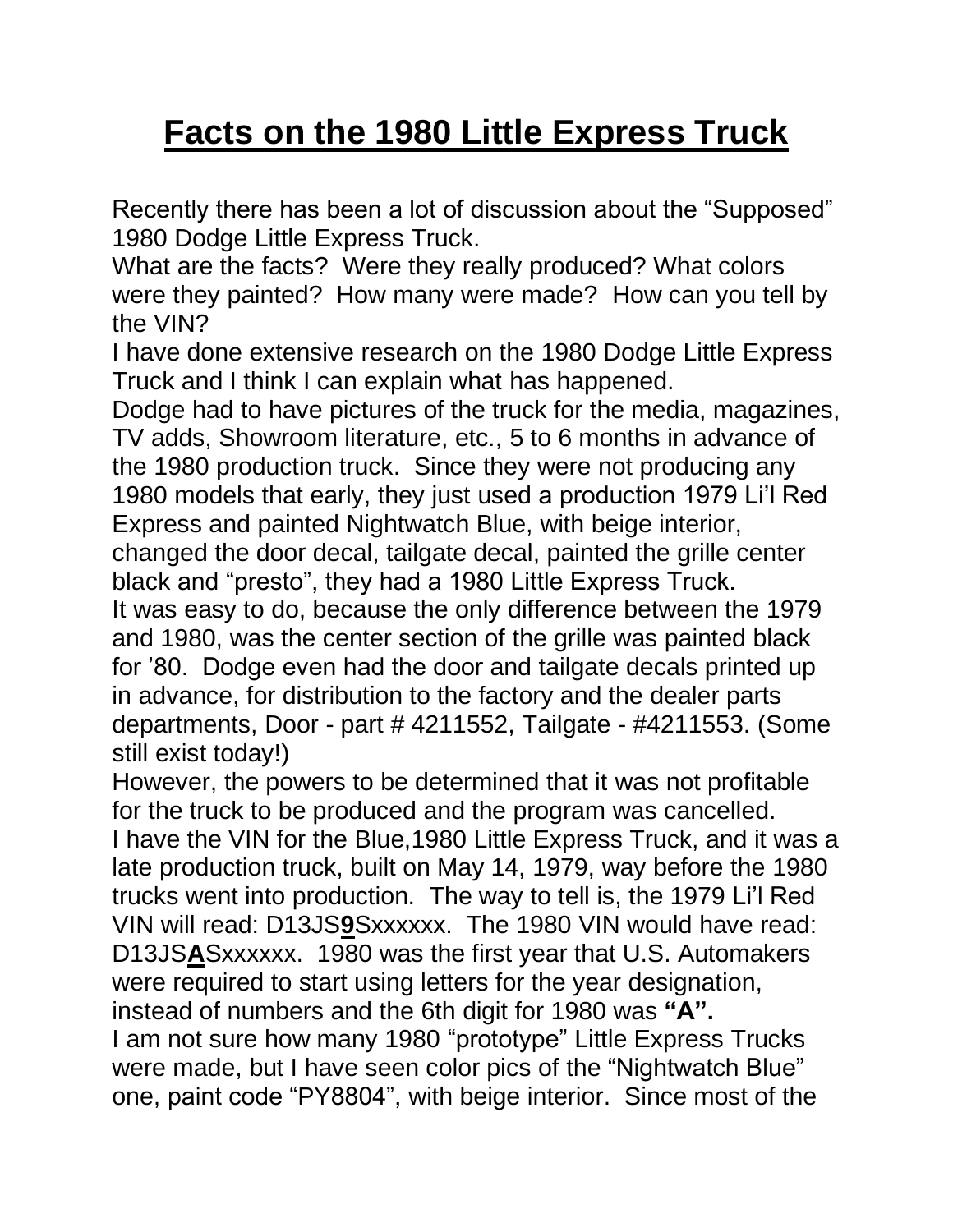## **Facts on the 1980 Little Express Truck**

Recently there has been a lot of discussion about the "Supposed" 1980 Dodge Little Express Truck.

What are the facts? Were they really produced? What colors were they painted? How many were made? How can you tell by the VIN?

I have done extensive research on the 1980 Dodge Little Express Truck and I think I can explain what has happened.

Dodge had to have pictures of the truck for the media, magazines, TV adds, Showroom literature, etc., 5 to 6 months in advance of the 1980 production truck. Since they were not producing any 1980 models that early, they just used a production 1979 Li'l Red Express and painted Nightwatch Blue, with beige interior, changed the door decal, tailgate decal, painted the grille center black and "presto", they had a 1980 Little Express Truck. It was easy to do, because the only difference between the 1979 and 1980, was the center section of the grille was painted black for '80. Dodge even had the door and tailgate decals printed up in advance, for distribution to the factory and the dealer parts departments, Door - part # 4211552, Tailgate - #4211553. (Some still exist today!)

However, the powers to be determined that it was not profitable for the truck to be produced and the program was cancelled. I have the VIN for the Blue,1980 Little Express Truck, and it was a late production truck, built on May 14, 1979, way before the 1980 trucks went into production. The way to tell is, the 1979 Li'l Red VIN will read: D13JS**9**Sxxxxxx. The 1980 VIN would have read: D13JS**A**Sxxxxxx. 1980 was the first year that U.S. Automakers were required to start using letters for the year designation, instead of numbers and the 6th digit for 1980 was **"A".** I am not sure how many 1980 "prototype" Little Express Trucks were made, but I have seen color pics of the "Nightwatch Blue" one, paint code "PY8804", with beige interior. Since most of the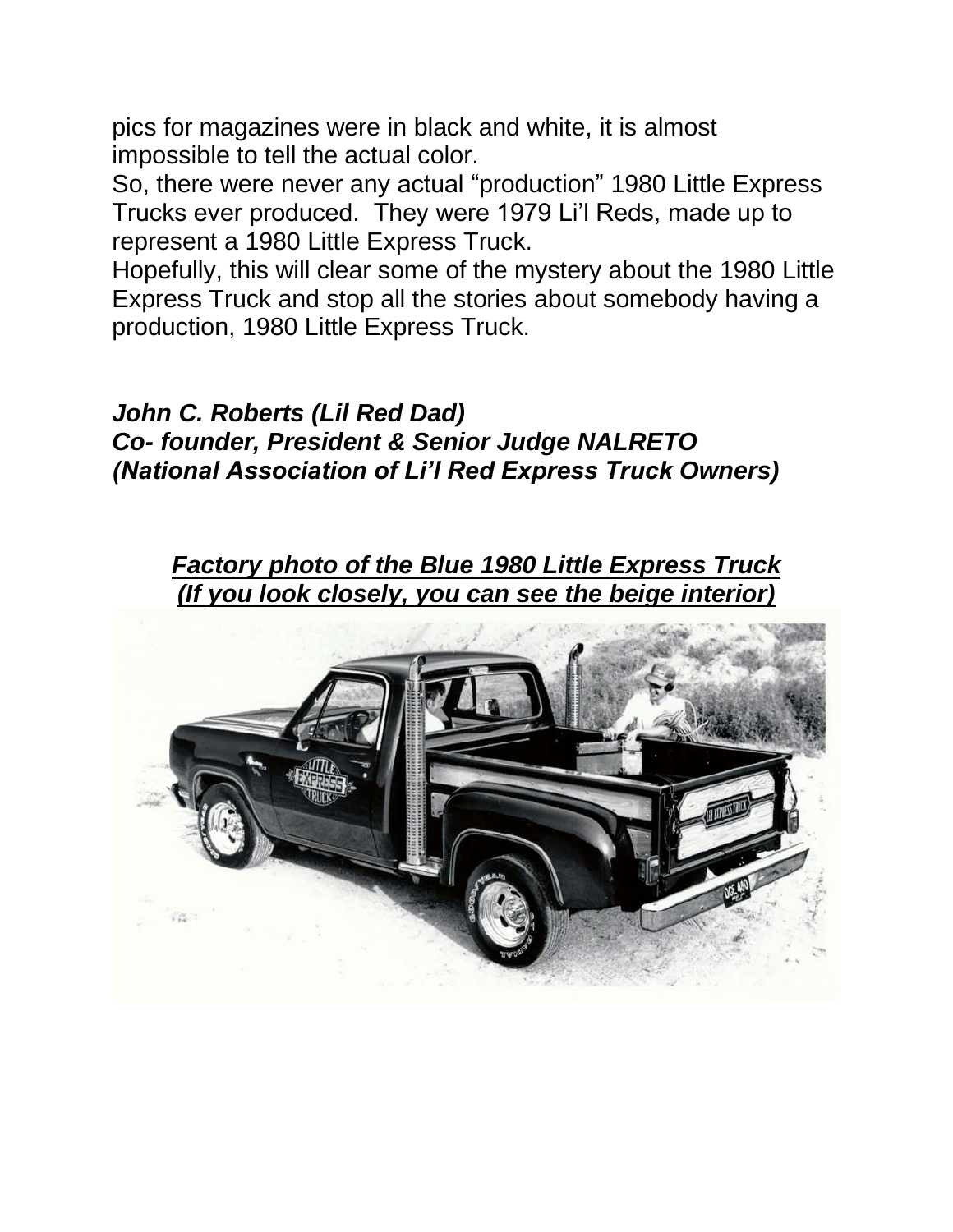pics for magazines were in black and white, it is almost impossible to tell the actual color.

So, there were never any actual "production" 1980 Little Express Trucks ever produced. They were 1979 Li'l Reds, made up to represent a 1980 Little Express Truck.

Hopefully, this will clear some of the mystery about the 1980 Little Express Truck and stop all the stories about somebody having a production, 1980 Little Express Truck.

*John C. Roberts (Lil Red Dad) Co- founder, President & Senior Judge NALRETO (National Association of Li'l Red Express Truck Owners)*

*Factory photo of the Blue 1980 Little Express Truck (If you look closely, you can see the beige interior)*

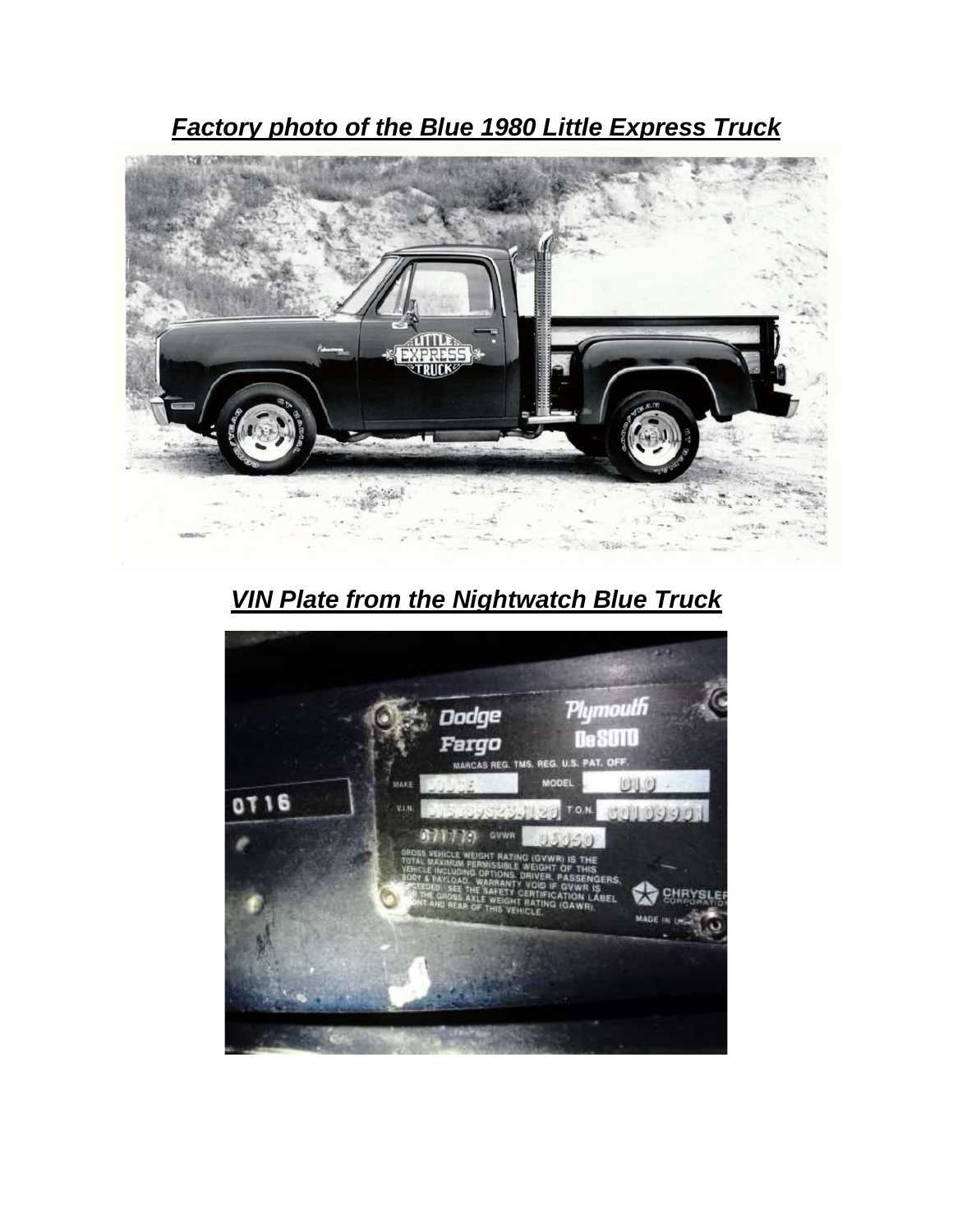*Factory photo of the Blue 1980 Little Express Truck*



*VIN Plate from the Nightwatch Blue Truck*

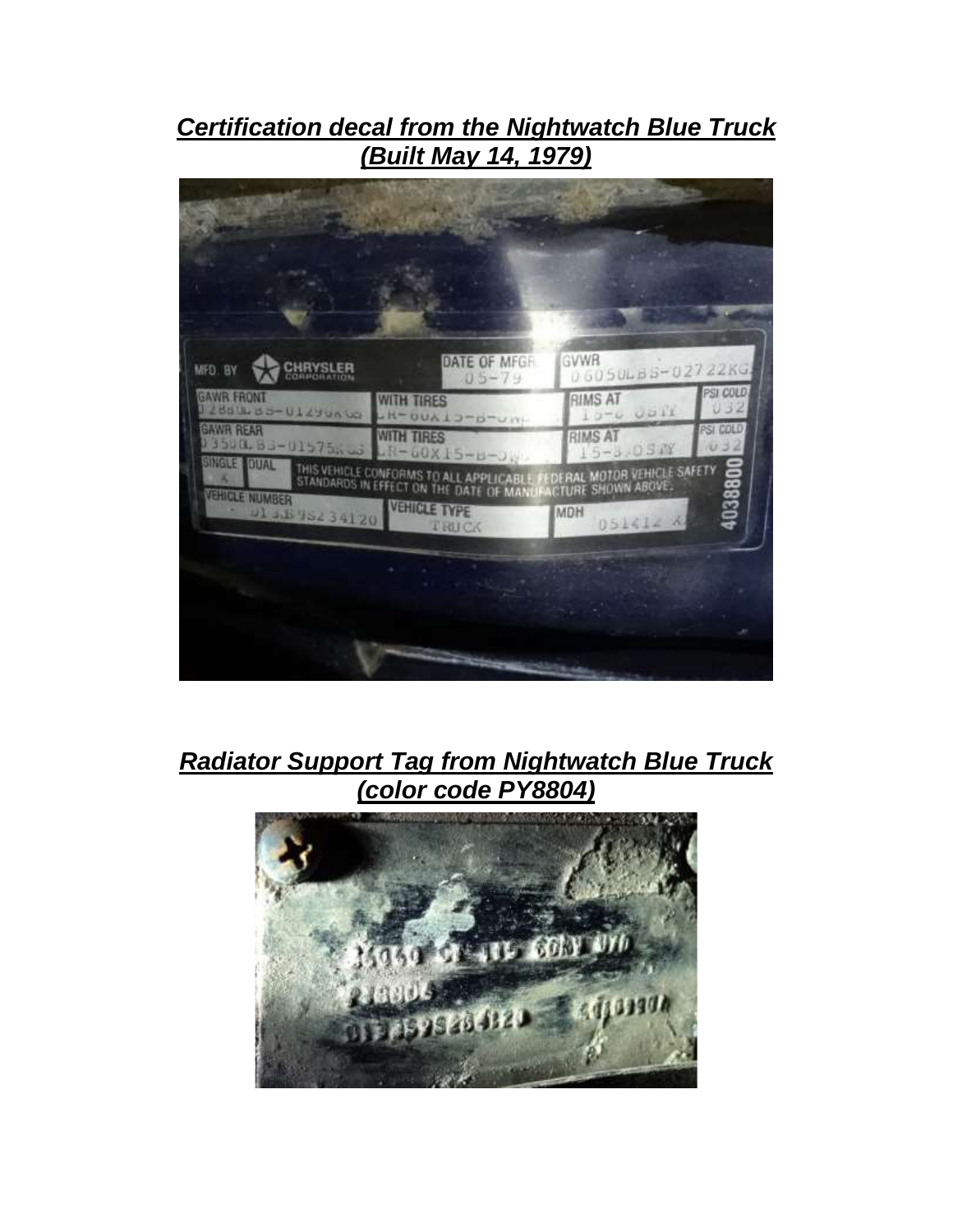### *Certification decal from the Nightwatch Blue Truck (Built May 14, 1979)*



#### *Radiator Support Tag from Nightwatch Blue Truck (color code PY8804)*